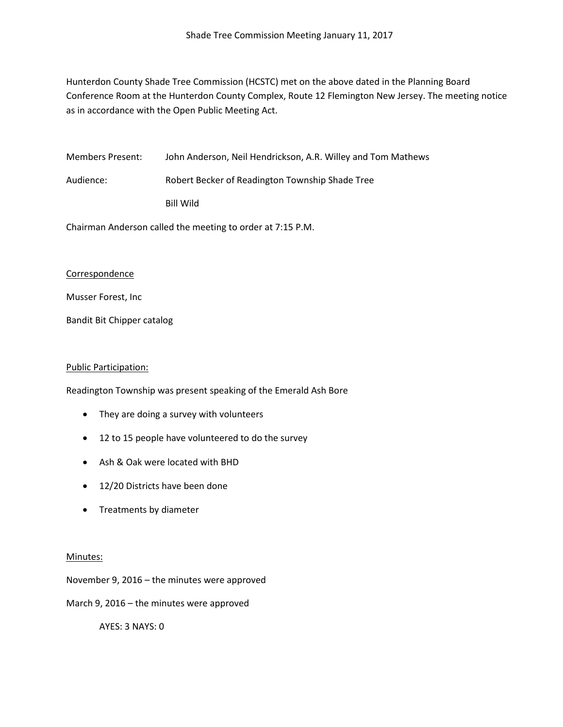Hunterdon County Shade Tree Commission (HCSTC) met on the above dated in the Planning Board Conference Room at the Hunterdon County Complex, Route 12 Flemington New Jersey. The meeting notice as in accordance with the Open Public Meeting Act.

Members Present: John Anderson, Neil Hendrickson, A.R. Willey and Tom Mathews Audience: Robert Becker of Readington Township Shade Tree Bill Wild

Chairman Anderson called the meeting to order at 7:15 P.M.

## Correspondence

Musser Forest, Inc

Bandit Bit Chipper catalog

## Public Participation:

Readington Township was present speaking of the Emerald Ash Bore

- They are doing a survey with volunteers
- 12 to 15 people have volunteered to do the survey
- Ash & Oak were located with BHD
- 12/20 Districts have been done
- Treatments by diameter

## Minutes:

November 9, 2016 – the minutes were approved

March 9, 2016 – the minutes were approved

AYES: 3 NAYS: 0